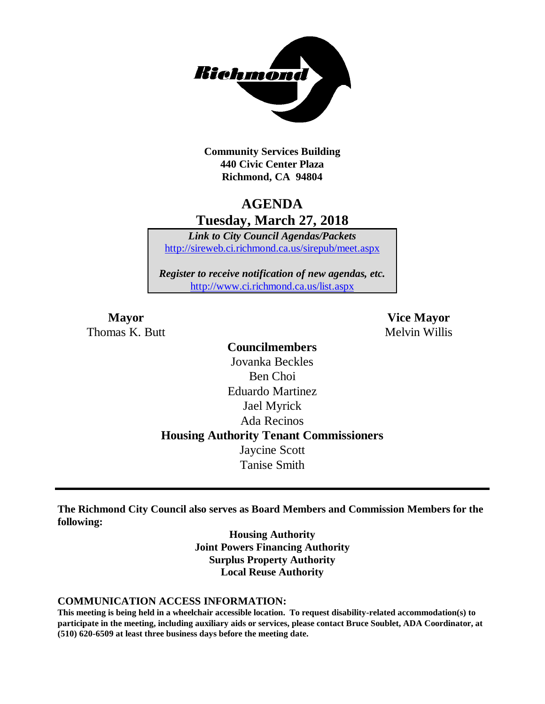

**Community Services Building 440 Civic Center Plaza Richmond, CA 94804**

## **AGENDA Tuesday, March 27, 2018**

*Link to City Council Agendas/Packets* <http://sireweb.ci.richmond.ca.us/sirepub/meet.aspx>

*Register to receive notification of new agendas, etc.* <http://www.ci.richmond.ca.us/list.aspx>

Thomas K. Butt Melvin Willis

**Mayor Vice Mayor**

**Councilmembers** Jovanka Beckles Ben Choi Eduardo Martinez Jael Myrick Ada Recinos **Housing Authority Tenant Commissioners** Jaycine Scott Tanise Smith

**The Richmond City Council also serves as Board Members and Commission Members for the following:**

> **Housing Authority Joint Powers Financing Authority Surplus Property Authority Local Reuse Authority**

#### **COMMUNICATION ACCESS INFORMATION:**

**This meeting is being held in a wheelchair accessible location. To request disability-related accommodation(s) to participate in the meeting, including auxiliary aids or services, please contact Bruce Soublet, ADA Coordinator, at (510) 620-6509 at least three business days before the meeting date.**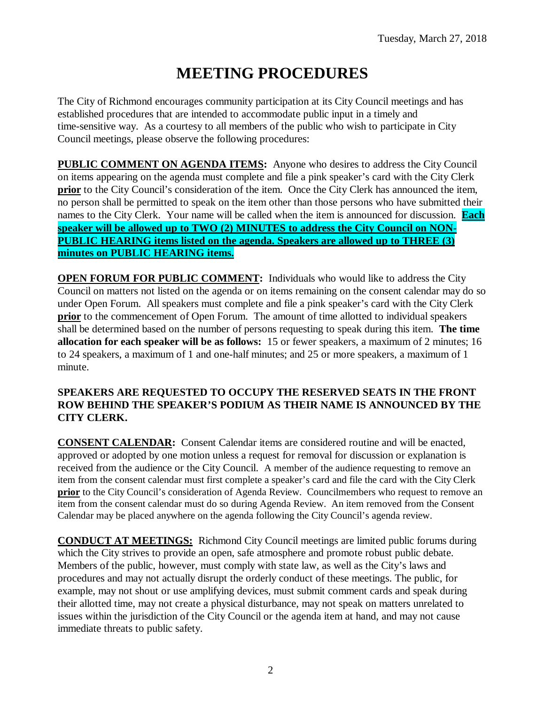# **MEETING PROCEDURES**

The City of Richmond encourages community participation at its City Council meetings and has established procedures that are intended to accommodate public input in a timely and time-sensitive way. As a courtesy to all members of the public who wish to participate in City Council meetings, please observe the following procedures:

**PUBLIC COMMENT ON AGENDA ITEMS:** Anyone who desires to address the City Council on items appearing on the agenda must complete and file a pink speaker's card with the City Clerk **prior** to the City Council's consideration of the item. Once the City Clerk has announced the item, no person shall be permitted to speak on the item other than those persons who have submitted their names to the City Clerk. Your name will be called when the item is announced for discussion. **Each speaker will be allowed up to TWO (2) MINUTES to address the City Council on NON-PUBLIC HEARING items listed on the agenda. Speakers are allowed up to THREE (3) minutes on PUBLIC HEARING items.**

**OPEN FORUM FOR PUBLIC COMMENT:** Individuals who would like to address the City Council on matters not listed on the agenda or on items remaining on the consent calendar may do so under Open Forum. All speakers must complete and file a pink speaker's card with the City Clerk **prior** to the commencement of Open Forum. The amount of time allotted to individual speakers shall be determined based on the number of persons requesting to speak during this item. **The time allocation for each speaker will be as follows:** 15 or fewer speakers, a maximum of 2 minutes; 16 to 24 speakers, a maximum of 1 and one-half minutes; and 25 or more speakers, a maximum of 1 minute.

### **SPEAKERS ARE REQUESTED TO OCCUPY THE RESERVED SEATS IN THE FRONT ROW BEHIND THE SPEAKER'S PODIUM AS THEIR NAME IS ANNOUNCED BY THE CITY CLERK.**

**CONSENT CALENDAR:** Consent Calendar items are considered routine and will be enacted, approved or adopted by one motion unless a request for removal for discussion or explanation is received from the audience or the City Council. A member of the audience requesting to remove an item from the consent calendar must first complete a speaker's card and file the card with the City Clerk **prior** to the City Council's consideration of Agenda Review. Councilmembers who request to remove an item from the consent calendar must do so during Agenda Review. An item removed from the Consent Calendar may be placed anywhere on the agenda following the City Council's agenda review.

**CONDUCT AT MEETINGS:** Richmond City Council meetings are limited public forums during which the City strives to provide an open, safe atmosphere and promote robust public debate. Members of the public, however, must comply with state law, as well as the City's laws and procedures and may not actually disrupt the orderly conduct of these meetings. The public, for example, may not shout or use amplifying devices, must submit comment cards and speak during their allotted time, may not create a physical disturbance, may not speak on matters unrelated to issues within the jurisdiction of the City Council or the agenda item at hand, and may not cause immediate threats to public safety.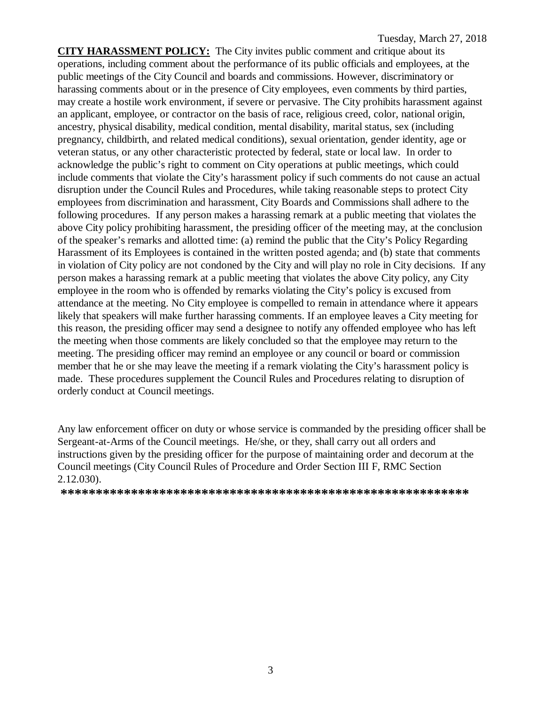**CITY HARASSMENT POLICY:** The City invites public comment and critique about its operations, including comment about the performance of its public officials and employees, at the public meetings of the City Council and boards and commissions. However, discriminatory or harassing comments about or in the presence of City employees, even comments by third parties, may create a hostile work environment, if severe or pervasive. The City prohibits harassment against an applicant, employee, or contractor on the basis of race, religious creed, color, national origin, ancestry, physical disability, medical condition, mental disability, marital status, sex (including pregnancy, childbirth, and related medical conditions), sexual orientation, gender identity, age or veteran status, or any other characteristic protected by federal, state or local law. In order to acknowledge the public's right to comment on City operations at public meetings, which could include comments that violate the City's harassment policy if such comments do not cause an actual disruption under the Council Rules and Procedures, while taking reasonable steps to protect City employees from discrimination and harassment, City Boards and Commissions shall adhere to the following procedures. If any person makes a harassing remark at a public meeting that violates the above City policy prohibiting harassment, the presiding officer of the meeting may, at the conclusion of the speaker's remarks and allotted time: (a) remind the public that the City's Policy Regarding Harassment of its Employees is contained in the written posted agenda; and (b) state that comments in violation of City policy are not condoned by the City and will play no role in City decisions. If any person makes a harassing remark at a public meeting that violates the above City policy, any City employee in the room who is offended by remarks violating the City's policy is excused from attendance at the meeting. No City employee is compelled to remain in attendance where it appears likely that speakers will make further harassing comments. If an employee leaves a City meeting for this reason, the presiding officer may send a designee to notify any offended employee who has left the meeting when those comments are likely concluded so that the employee may return to the meeting. The presiding officer may remind an employee or any council or board or commission member that he or she may leave the meeting if a remark violating the City's harassment policy is made. These procedures supplement the Council Rules and Procedures relating to disruption of orderly conduct at Council meetings.

Any law enforcement officer on duty or whose service is commanded by the presiding officer shall be Sergeant-at-Arms of the Council meetings. He/she, or they, shall carry out all orders and instructions given by the presiding officer for the purpose of maintaining order and decorum at the Council meetings (City Council Rules of Procedure and Order Section III F, RMC Section 2.12.030).

**\*\*\*\*\*\*\*\*\*\*\*\*\*\*\*\*\*\*\*\*\*\*\*\*\*\*\*\*\*\*\*\*\*\*\*\*\*\*\*\*\*\*\*\*\*\*\*\*\*\*\*\*\*\*\*\*\*\***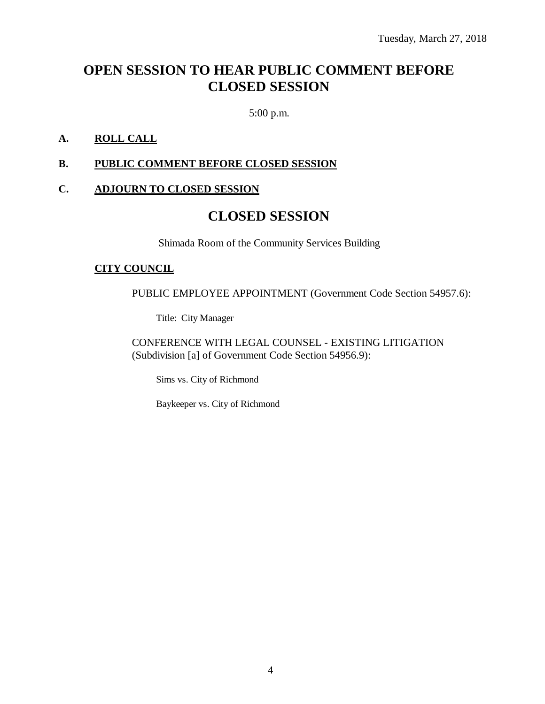## **OPEN SESSION TO HEAR PUBLIC COMMENT BEFORE CLOSED SESSION**

5:00 p.m.

### **A. ROLL CALL**

#### **B. PUBLIC COMMENT BEFORE CLOSED SESSION**

#### **C. ADJOURN TO CLOSED SESSION**

## **CLOSED SESSION**

Shimada Room of the Community Services Building

#### **CITY COUNCIL**

PUBLIC EMPLOYEE APPOINTMENT (Government Code Section 54957.6):

Title: City Manager

CONFERENCE WITH LEGAL COUNSEL - EXISTING LITIGATION (Subdivision [a] of Government Code Section 54956.9):

Sims vs. City of Richmond

Baykeeper vs. City of Richmond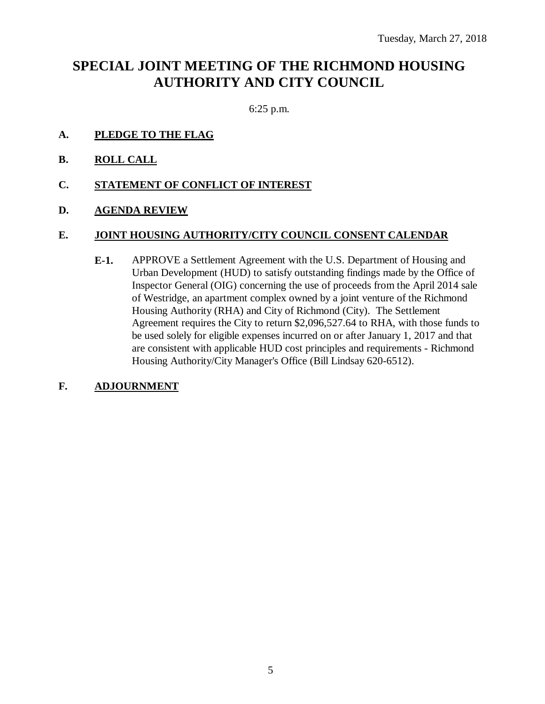## **SPECIAL JOINT MEETING OF THE RICHMOND HOUSING AUTHORITY AND CITY COUNCIL**

6:25 p.m.

- **A. PLEDGE TO THE FLAG**
- **B. ROLL CALL**
- **C. STATEMENT OF CONFLICT OF INTEREST**
- **D. AGENDA REVIEW**

### **E. JOINT HOUSING AUTHORITY/CITY COUNCIL CONSENT CALENDAR**

- **E-1.** APPROVE a Settlement Agreement with the U.S. Department of Housing and Urban Development (HUD) to satisfy outstanding findings made by the Office of Inspector General (OIG) concerning the use of proceeds from the April 2014 sale of Westridge, an apartment complex owned by a joint venture of the Richmond Housing Authority (RHA) and City of Richmond (City). The Settlement Agreement requires the City to return \$2,096,527.64 to RHA, with those funds to be used solely for eligible expenses incurred on or after January 1, 2017 and that are consistent with applicable HUD cost principles and requirements - Richmond Housing Authority/City Manager's Office (Bill Lindsay 620-6512).
- **F. ADJOURNMENT**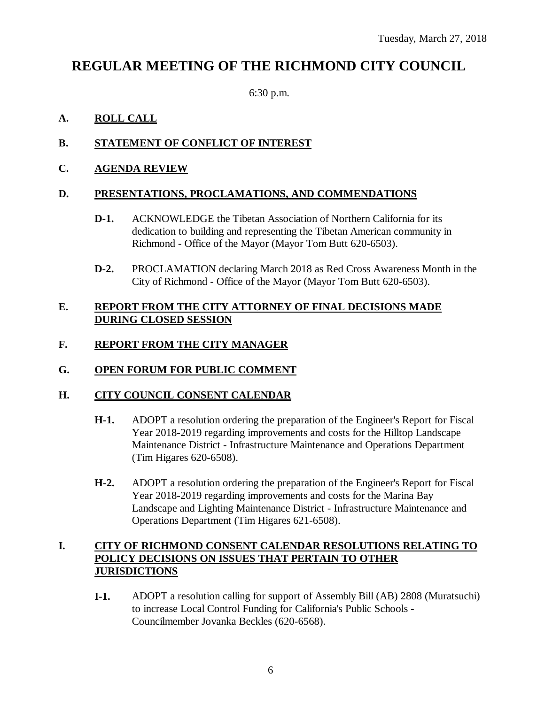## **REGULAR MEETING OF THE RICHMOND CITY COUNCIL**

6:30 p.m.

## **A. ROLL CALL**

## **B. STATEMENT OF CONFLICT OF INTEREST**

## **C. AGENDA REVIEW**

### **D. PRESENTATIONS, PROCLAMATIONS, AND COMMENDATIONS**

- **D-1.** ACKNOWLEDGE the Tibetan Association of Northern California for its dedication to building and representing the Tibetan American community in Richmond - Office of the Mayor (Mayor Tom Butt 620-6503).
- **D-2.** PROCLAMATION declaring March 2018 as Red Cross Awareness Month in the City of Richmond - Office of the Mayor (Mayor Tom Butt 620-6503).

### **E. REPORT FROM THE CITY ATTORNEY OF FINAL DECISIONS MADE DURING CLOSED SESSION**

## **F. REPORT FROM THE CITY MANAGER**

## **G. OPEN FORUM FOR PUBLIC COMMENT**

### **H. CITY COUNCIL CONSENT CALENDAR**

- **H-1.** ADOPT a resolution ordering the preparation of the Engineer's Report for Fiscal Year 2018-2019 regarding improvements and costs for the Hilltop Landscape Maintenance District - Infrastructure Maintenance and Operations Department (Tim Higares 620-6508).
- **H-2.** ADOPT a resolution ordering the preparation of the Engineer's Report for Fiscal Year 2018-2019 regarding improvements and costs for the Marina Bay Landscape and Lighting Maintenance District - Infrastructure Maintenance and Operations Department (Tim Higares 621-6508).

## **I. CITY OF RICHMOND CONSENT CALENDAR RESOLUTIONS RELATING TO POLICY DECISIONS ON ISSUES THAT PERTAIN TO OTHER JURISDICTIONS**

**I-1.** ADOPT a resolution calling for support of Assembly Bill (AB) 2808 (Muratsuchi) to increase Local Control Funding for California's Public Schools - Councilmember Jovanka Beckles (620-6568).